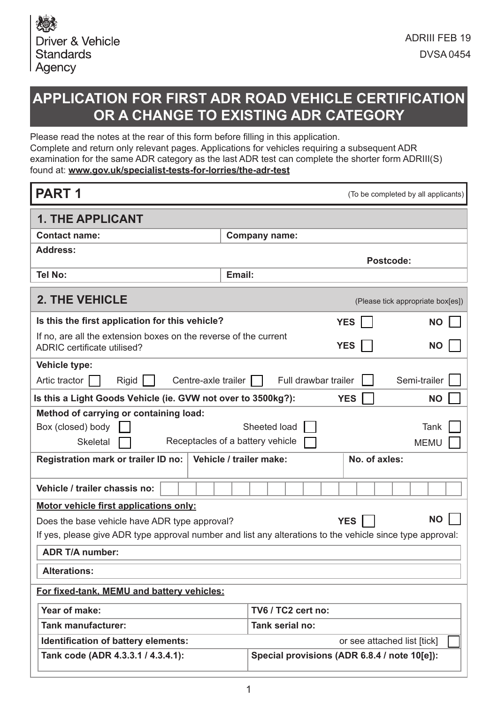# **APPLICATION FOR FIRST ADR ROAD VEHICLE CERTIFICATION OR A CHANGE TO EXISTING ADR CATEGORY**

Please read the notes at the rear of this form before flling in this application. Complete and return only relevant pages. Applications for vehicles requiring a subsequent ADR examination for the same ADR category as the last ADR test can complete the shorter form ADRIII(S) found at: **www.gov.uk/specialist-tests-for-lorries/the-adr-test**

| <b>PART1</b>                                                                                              |        |                         |                                              | (To be completed by all applicants) |
|-----------------------------------------------------------------------------------------------------------|--------|-------------------------|----------------------------------------------|-------------------------------------|
| <b>1. THE APPLICANT</b>                                                                                   |        |                         |                                              |                                     |
| <b>Contact name:</b>                                                                                      |        | <b>Company name:</b>    |                                              |                                     |
| <b>Address:</b>                                                                                           |        |                         |                                              | Postcode:                           |
| <b>Tel No:</b>                                                                                            | Email: |                         |                                              |                                     |
| <b>2. THE VEHICLE</b>                                                                                     |        |                         |                                              | (Please tick appropriate box[es])   |
| Is this the first application for this vehicle?                                                           |        |                         | <b>YES</b>                                   | <b>NO</b>                           |
| If no, are all the extension boxes on the reverse of the current<br>ADRIC certificate utilised?           |        |                         | <b>YES</b>                                   | <b>NO</b>                           |
| Vehicle type:                                                                                             |        |                         |                                              |                                     |
| Artic tractor<br>Rigid<br>Centre-axle trailer                                                             |        |                         | Full drawbar trailer                         | Semi-trailer                        |
| Is this a Light Goods Vehicle (ie. GVW not over to 3500kg?):                                              |        |                         | <b>YES</b>                                   | <b>NO</b>                           |
| Method of carrying or containing load:                                                                    |        |                         |                                              |                                     |
| Box (closed) body                                                                                         |        | Sheeted load            |                                              | Tank                                |
| Receptacles of a battery vehicle<br><b>Skeletal</b>                                                       |        |                         |                                              | <b>MEMU</b>                         |
| Registration mark or trailer ID no:                                                                       |        | Vehicle / trailer make: | No. of axles:                                |                                     |
| Vehicle / trailer chassis no:                                                                             |        |                         |                                              |                                     |
| Motor vehicle first applications only:                                                                    |        |                         |                                              |                                     |
| Does the base vehicle have ADR type approval?                                                             |        |                         | <b>YES</b>                                   | <b>NO</b>                           |
| If yes, please give ADR type approval number and list any alterations to the vehicle since type approval: |        |                         |                                              |                                     |
| <b>ADR T/A number:</b>                                                                                    |        |                         |                                              |                                     |
| <b>Alterations:</b>                                                                                       |        |                         |                                              |                                     |
| For fixed-tank, MEMU and battery vehicles:                                                                |        |                         |                                              |                                     |
| Year of make:                                                                                             |        | TV6 / TC2 cert no:      |                                              |                                     |
| <b>Tank manufacturer:</b>                                                                                 |        | Tank serial no:         |                                              |                                     |
| Identification of battery elements:                                                                       |        |                         |                                              | or see attached list [tick]         |
| Tank code (ADR 4.3.3.1 / 4.3.4.1):                                                                        |        |                         | Special provisions (ADR 6.8.4 / note 10[e]): |                                     |
|                                                                                                           |        |                         |                                              |                                     |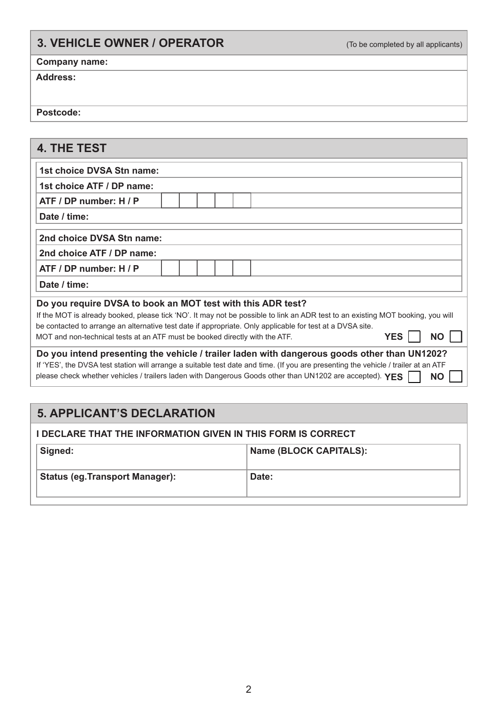### **3. VEHICLE OWNER / OPERATOR** (To be completed by all applicants)

### **Company name:**

#### **Address:**

 **Postcode:**

### **4. THE TEST**

| 1st choice DVSA Stn name:                                                                                                          |  |  |            |           |
|------------------------------------------------------------------------------------------------------------------------------------|--|--|------------|-----------|
| 1st choice ATF / DP name:                                                                                                          |  |  |            |           |
| ATF / DP number: H / P                                                                                                             |  |  |            |           |
| Date / time:                                                                                                                       |  |  |            |           |
| 2nd choice DVSA Stn name:                                                                                                          |  |  |            |           |
| 2nd choice ATF / DP name:                                                                                                          |  |  |            |           |
| ATF / DP number: H / P                                                                                                             |  |  |            |           |
| Date / time:                                                                                                                       |  |  |            |           |
| Do you require DVSA to book an MOT test with this ADR test?                                                                        |  |  |            |           |
| If the MOT is already booked, please tick 'NO'. It may not be possible to link an ADR test to an existing MOT booking, you will    |  |  |            |           |
| be contacted to arrange an alternative test date if appropriate. Only applicable for test at a DVSA site.                          |  |  |            |           |
| MOT and non-technical tests at an ATF must be booked directly with the ATF.                                                        |  |  | <b>YES</b> | <b>NO</b> |
| Do you intend presenting the vehicle / trailer laden with dangerous goods other than UN1202?                                       |  |  |            |           |
| If 'YES', the DVSA test station will arrange a suitable test date and time. (If you are presenting the vehicle / trailer at an ATF |  |  |            |           |
| please check whether vehicles / trailers laden with Dangerous Goods other than UN1202 are accepted). YES                           |  |  |            | <b>NO</b> |

### **5. APPLICANT'S DECLARATION**

| <b>I DECLARE THAT THE INFORMATION GIVEN IN THIS FORM IS CORRECT</b> |                               |  |  |
|---------------------------------------------------------------------|-------------------------------|--|--|
| Signed:                                                             | <b>Name (BLOCK CAPITALS):</b> |  |  |
| <b>Status (eg. Transport Manager):</b>                              | Date:                         |  |  |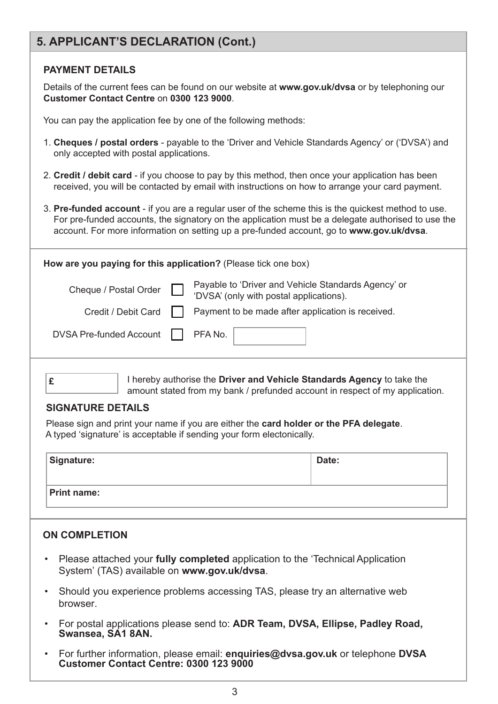### **5. APPLICANT'S DECLARATION (Cont.)**

### **PAYMENT DETAILS**

 Details of the current fees can be found on our website at **www.gov.uk/dvsa** or by telephoning our **Customer Contact Centre** on **0300 123 9000**.

You can pay the application fee by one of the following methods:

- 1. **Cheques / postal orders** payable to the 'Driver and Vehicle Standards Agency' or ('DVSA') and only accepted with postal applications.
- 2. **Credit / debit card** if you choose to pay by this method, then once your application has been received, you will be contacted by email with instructions on how to arrange your card payment.
- 3. **Pre-funded account** if you are a regular user of the scheme this is the quickest method to use. For pre-funded accounts, the signatory on the application must be a delegate authorised to use the account. For more information on setting up a pre-funded account, go to **www.gov.uk/dvsa**.

| How are you paying for this application? (Please tick one box) |  |                                                                                                |  |  |
|----------------------------------------------------------------|--|------------------------------------------------------------------------------------------------|--|--|
| Cheque / Postal Order                                          |  | Payable to 'Driver and Vehicle Standards Agency' or<br>'DVSA' (only with postal applications). |  |  |
| Credit / Debit Card                                            |  | Payment to be made after application is received.                                              |  |  |
| <b>DVSA Pre-funded Account</b>                                 |  | PFA No.                                                                                        |  |  |
|                                                                |  | I hereby authorise the Driver and Vehicle Standards Agency to take the                         |  |  |

I hereby authorise the **Driver and Vehicle Standards Agency** to take the amount stated from my bank / prefunded account in respect of my application.

#### **SIGNATURE DETAILS**

Please sign and print your name if you are either the **card holder or the PFA delegate**. A typed 'signature' is acceptable if sending your form electonically.

| Signature:         | Date: |
|--------------------|-------|
| <b>Print name:</b> |       |

### **ON COMPLETION**

- Please attached your **fully completed** application to the 'Technical Application System' (TAS) available on **www.gov.uk/dvsa**.
- Should you experience problems accessing TAS, please try an alternative web browser.
- For postal applications please send to: **ADR Team, DVSA, Ellipse, Padley Road, Swansea, SA1 8AN.**
- For further information, please email: **enquiries@dvsa.gov.uk** or telephone **DVSA Customer Contact Centre: 0300 123 9000**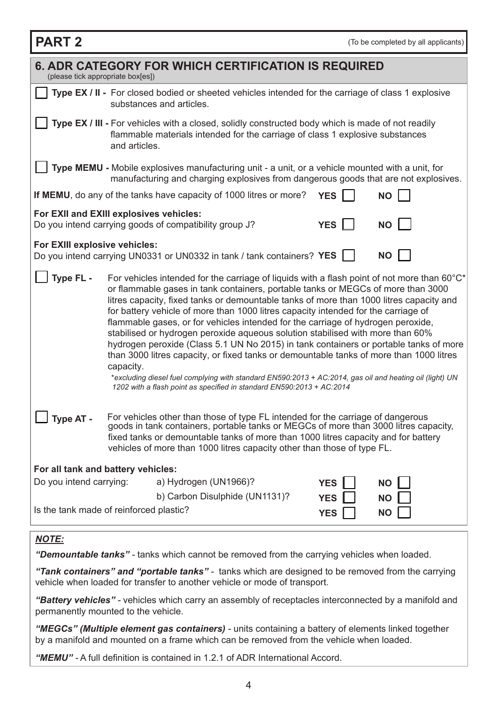| <b>PART 2</b>                                                                                               | (To be completed by all applicants)                                                                                                                                                                                                                                                                                                                                                                                                                                                                                                                                                                                                                                                                                                                                                                                                                                                                                                   |  |  |  |  |
|-------------------------------------------------------------------------------------------------------------|---------------------------------------------------------------------------------------------------------------------------------------------------------------------------------------------------------------------------------------------------------------------------------------------------------------------------------------------------------------------------------------------------------------------------------------------------------------------------------------------------------------------------------------------------------------------------------------------------------------------------------------------------------------------------------------------------------------------------------------------------------------------------------------------------------------------------------------------------------------------------------------------------------------------------------------|--|--|--|--|
|                                                                                                             | <b>6. ADR CATEGORY FOR WHICH CERTIFICATION IS REQUIRED</b><br>(please tick appropriate box[es])                                                                                                                                                                                                                                                                                                                                                                                                                                                                                                                                                                                                                                                                                                                                                                                                                                       |  |  |  |  |
|                                                                                                             | Type EX / II - For closed bodied or sheeted vehicles intended for the carriage of class 1 explosive<br>substances and articles.                                                                                                                                                                                                                                                                                                                                                                                                                                                                                                                                                                                                                                                                                                                                                                                                       |  |  |  |  |
|                                                                                                             | Type EX / III - For vehicles with a closed, solidly constructed body which is made of not readily<br>flammable materials intended for the carriage of class 1 explosive substances<br>and articles.                                                                                                                                                                                                                                                                                                                                                                                                                                                                                                                                                                                                                                                                                                                                   |  |  |  |  |
|                                                                                                             | Type MEMU - Mobile explosives manufacturing unit - a unit, or a vehicle mounted with a unit, for<br>manufacturing and charging explosives from dangerous goods that are not explosives.                                                                                                                                                                                                                                                                                                                                                                                                                                                                                                                                                                                                                                                                                                                                               |  |  |  |  |
|                                                                                                             | If MEMU, do any of the tanks have capacity of 1000 litres or more?<br><b>YES</b><br><b>NO</b>                                                                                                                                                                                                                                                                                                                                                                                                                                                                                                                                                                                                                                                                                                                                                                                                                                         |  |  |  |  |
|                                                                                                             | For EXII and EXIII explosives vehicles:<br>Do you intend carrying goods of compatibility group J?<br><b>YES</b><br><b>NO</b>                                                                                                                                                                                                                                                                                                                                                                                                                                                                                                                                                                                                                                                                                                                                                                                                          |  |  |  |  |
| For EXIII explosive vehicles:                                                                               | Do you intend carrying UN0331 or UN0332 in tank / tank containers? YES  <br><b>NO</b>                                                                                                                                                                                                                                                                                                                                                                                                                                                                                                                                                                                                                                                                                                                                                                                                                                                 |  |  |  |  |
| Type FL -                                                                                                   | For vehicles intended for the carriage of liquids with a flash point of not more than 60 $\degree$ C*<br>or flammable gases in tank containers, portable tanks or MEGCs of more than 3000<br>litres capacity, fixed tanks or demountable tanks of more than 1000 litres capacity and<br>for battery vehicle of more than 1000 litres capacity intended for the carriage of<br>flammable gases, or for vehicles intended for the carriage of hydrogen peroxide,<br>stabilised or hydrogen peroxide aqueous solution stabilised with more than 60%<br>hydrogen peroxide (Class 5.1 UN No 2015) in tank containers or portable tanks of more<br>than 3000 litres capacity, or fixed tanks or demountable tanks of more than 1000 litres<br>capacity.<br>*excluding diesel fuel complying with standard EN590:2013 + AC:2014, gas oil and heating oil (light) UN<br>1202 with a flash point as specified in standard EN590:2013 + AC:2014 |  |  |  |  |
| Type AT -                                                                                                   | For vehicles other than those of type FL intended for the carriage of dangerous<br>goods in tank containers, portable tanks or MEGCs of more than 3000 litres capacity,<br>fixed tanks or demountable tanks of more than 1000 litres capacity and for battery<br>vehicles of more than 1000 litres capacity other than those of type FL.                                                                                                                                                                                                                                                                                                                                                                                                                                                                                                                                                                                              |  |  |  |  |
| For all tank and battery vehicles:                                                                          |                                                                                                                                                                                                                                                                                                                                                                                                                                                                                                                                                                                                                                                                                                                                                                                                                                                                                                                                       |  |  |  |  |
| Do you intend carrying:                                                                                     | a) Hydrogen (UN1966)?<br><b>YES</b><br><b>NO</b>                                                                                                                                                                                                                                                                                                                                                                                                                                                                                                                                                                                                                                                                                                                                                                                                                                                                                      |  |  |  |  |
|                                                                                                             | b) Carbon Disulphide (UN1131)?<br><b>YES</b><br><b>NO</b><br>Is the tank made of reinforced plastic?<br><b>YES</b><br><b>NO</b>                                                                                                                                                                                                                                                                                                                                                                                                                                                                                                                                                                                                                                                                                                                                                                                                       |  |  |  |  |
| <b>NOTE:</b><br>"Demountable tanks" - tanks which cannot be removed from the carrying vehicles when loaded. |                                                                                                                                                                                                                                                                                                                                                                                                                                                                                                                                                                                                                                                                                                                                                                                                                                                                                                                                       |  |  |  |  |

*"Tank containers" and "portable tanks" -* tanks which are designed to be removed from the carrying vehicle when loaded for transfer to another vehicle or mode of transport.

*"Battery vehicles" -* vehicles which carry an assembly of receptacles interconnected by a manifold and permanently mounted to the vehicle.

*"MEGCs" (Multiple element gas containers) -* units containing a battery of elements linked together by a manifold and mounted on a frame which can be removed from the vehicle when loaded.

*"MEMU" -* A full defnition is contained in 1.2.1 of ADR International Accord.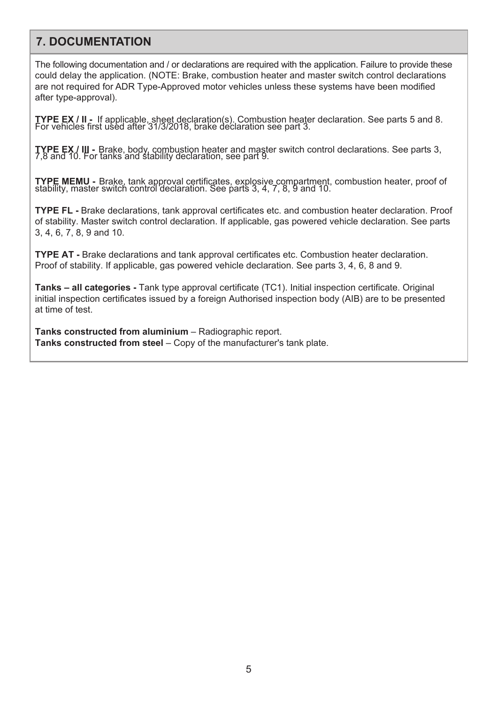### **7. DOCUMENTATION**

The following documentation and / or declarations are required with the application. Failure to provide these could delay the application. (NOTE: Brake, combustion heater and master switch control declarations are not required for ADR Type-Approved motor vehicles unless these systems have been modified after type-approval).

**TYPE EX / II -** If applicable, sheet declaration(s). Combustion heater declaration. See parts 5 and 8. For vehicles first used after 31/3/2018, brake declaration see part 3.

**TYPE EX / III -** Brake, body, combustion heater and master switch control declarations. See parts 3, 7,8 and 10. For tanks and stability declaration, see part 9.

**TYPE MEMU -** Brake, tank approval certificates, explosive compartment, combustion heater, proof of stability, master switch control declaration. See parts 3, 4, 7, 8, 9 and 10.

**TYPE FL** - Brake declarations, tank approval certificates etc. and combustion heater declaration. Proof of stability. Master switch control declaration. If applicable, gas powered vehicle declaration. See parts 3, 4, 6, 7, 8, 9 and 10.

**TYPE AT -** Brake declarations and tank approval certificates etc. Combustion heater declaration. Proof of stability. If applicable, gas powered vehicle declaration. See parts 3, 4, 6, 8 and 9.

**Tanks – all categories -** Tank type approval certificate (TC1). Initial inspection certificate. Original initial inspection certificates issued by a foreign Authorised inspection body (AIB) are to be presented at time of test.

**Tanks constructed from aluminium** – Radiographic report. **Tanks constructed from steel** – Copy of the manufacturer's tank plate.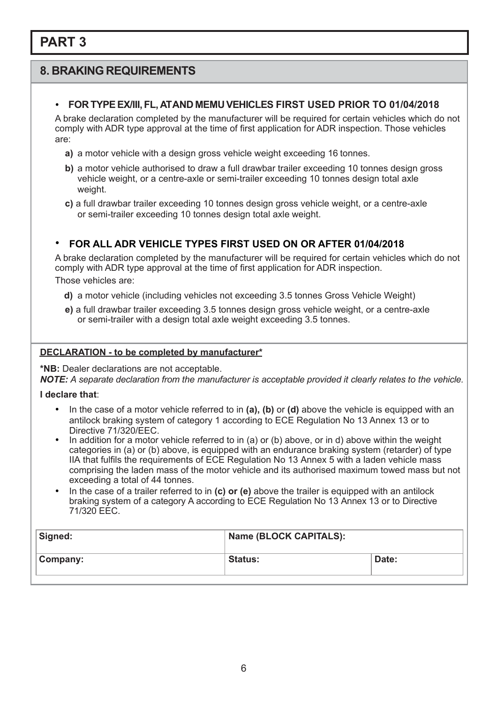### **8. BRAKING REQUIREMENTS**

#### • **FOR TYPEEX/III,FL, ATAND MEMU VEHICLES FIRST USED PRIOR TO 01/04/2018**

A brake declaration completed by the manufacturer will be required for certain vehicles which do not comply with ADR type approval at the time of first application for ADR inspection. Those vehicles are:

- **a)** a motor vehicle with a design gross vehicle weight exceeding 16 tonnes.
- **b)** a motor vehicle authorised to draw a full drawbar trailer exceeding 10 tonnes design gross vehicle weight, or a centre-axle or semi-trailer exceeding 10 tonnes design total axle weight.
- **c)** a full drawbar trailer exceeding 10 tonnes design gross vehicle weight, or a centre-axle or semi-trailer exceeding 10 tonnes design total axle weight.

### • **FOR ALL ADR VEHICLE TYPES FIRST USED ON OR AFTER 01/04/2018**

A brake declaration completed by the manufacturer will be required for certain vehicles which do not comply with ADR type approval at the time of first application for ADR inspection. Those vehicles are:

- **d)** a motor vehicle (including vehicles not exceeding 3.5 tonnes Gross Vehicle Weight)
- **e)** a full drawbar trailer exceeding 3.5 tonnes design gross vehicle weight, or a centre-axle or semi-trailer with a design total axle weight exceeding 3.5 tonnes.

#### **DECLARATION - to be completed by manufacturer\***

**\*NB:** Dealer declarations are not acceptable.

*NOTE: A separate declaration from the manufacturer is acceptable provided it clearly relates to the vehicle.*

**I declare that**:

- In the case of a motor vehicle referred to in **(a), (b)** or **(d)** above the vehicle is equipped with an antilock braking system of category 1 according to ECE Regulation No 13 Annex 13 or to Directive 71/320/FFC.
- In addition for a motor vehicle referred to in (a) or (b) above, or in d) above within the weight categories in (a) or (b) above, is equipped with an endurance braking system (retarder) of type IIA that fulfils the requirements of ECE Regulation No 13 Annex 5 with a laden vehicle mass comprising the laden mass of the motor vehicle and its authorised maximum towed mass but not exceeding a total of 44 tonnes.
- In the case of a trailer referred to in **(c) or (e)** above the trailer is equipped with an antilock braking system of a category A according to ECE Regulation No 13 Annex 13 or to Directive 71/320 EEC.

| Signed:  | Name (BLOCK CAPITALS): |       |  |
|----------|------------------------|-------|--|
| Company: | <b>Status:</b>         | Date: |  |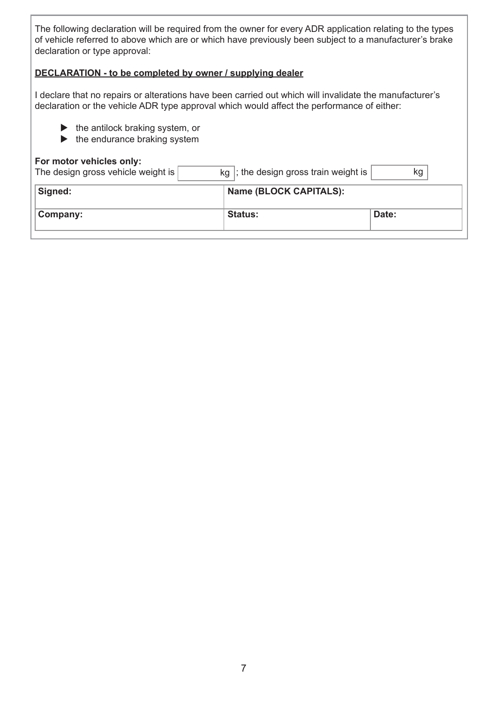The following declaration will be required from the owner for every ADR application relating to the types of vehicle referred to above which are or which have previously been subject to a manufacturer's brake declaration or type approval:

#### **DECLARATION - to be completed by owner / supplying dealer**

I declare that no repairs or alterations have been carried out which will invalidate the manufacturer's declaration or the vehicle ADR type approval which would affect the performance of either:

- $\blacktriangleright$  the antilock braking system, or
- $\blacktriangleright$  the endurance braking system

#### **For motor vehicles only:**

| $kg$ ; the design gross train weight is | kg    |
|-----------------------------------------|-------|
| <b>Name (BLOCK CAPITALS):</b>           |       |
| <b>Status:</b>                          | Date: |
|                                         |       |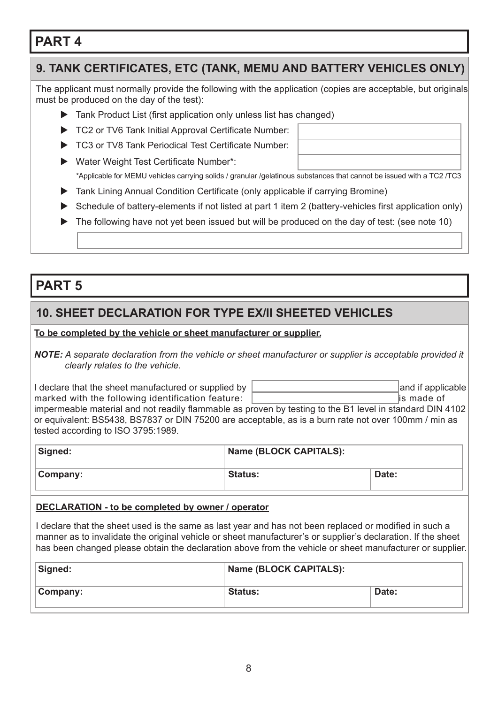### **9. TANK CERTIFICATES, ETC (TANK, MEMU AND BATTERY VEHICLES ONLY)**

The applicant must normally provide the following with the application (copies are acceptable, but originals must be produced on the day of the test):

- $\blacktriangleright$  Tank Product List (first application only unless list has changed)
- TC2 or TV6 Tank Initial Approval Certificate Number:
- ▶ TC3 or TV8 Tank Periodical Test Certificate Number:
- $\blacktriangleright$  Water Weight Test Certificate Number\*: \*Applicable for MEMU vehicles carrying solids / granular /gelatinous substances that cannot be issued with a TC2 /TC3
- ▶ Tank Lining Annual Condition Certificate (only applicable if carrying Bromine)
- $\triangleright$  Schedule of battery-elements if not listed at part 1 item 2 (battery-vehicles first application only)
- $\blacktriangleright$  The following have not yet been issued but will be produced on the day of test: (see note 10)

### **PART 5**

### **10. SHEET DECLARATION FOR TYPE EX/II SHEETED VEHICLES**

#### **To be completed by the vehicle or sheet manufacturer or supplier.**

*NOTE: A separate declaration from the vehicle or sheet manufacturer or supplier is acceptable provided it clearly relates to the vehicle.*

I declare that the sheet manufactured or supplied by  $\vert$  and if applicable and if applicable marked with the following identification feature: **is mateured in the set of the set of the set of the set of the set of the set of the set of the set of the set of the set of the set of the set of the set of the set of th** 

impermeable material and not readily flammable as proven by testing to the B1 level in standard DIN 4102 or equivalent: BS5438, BS7837 or DIN 75200 are acceptable, as is a burn rate not over 100mm / min as tested according to ISO 3795:1989.

| Signed:  | Name (BLOCK CAPITALS): |       |  |
|----------|------------------------|-------|--|
| Company: | <b>Status:</b>         | Date: |  |

#### **DECLARATION - to be completed by owner / operator**

I declare that the sheet used is the same as last year and has not been replaced or modifed in such a manner as to invalidate the original vehicle or sheet manufacturer's or supplier's declaration. If the sheet has been changed please obtain the declaration above from the vehicle or sheet manufacturer or supplier.

| Signed:  | Name (BLOCK CAPITALS): |       |  |
|----------|------------------------|-------|--|
| Company: | <b>Status:</b>         | Date: |  |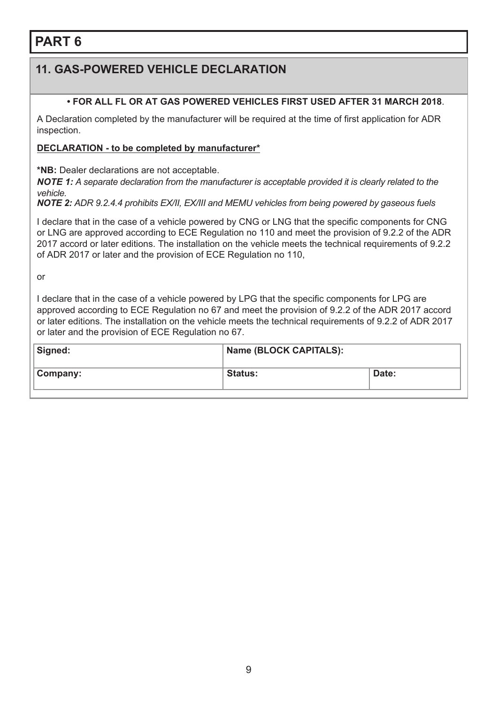### **11. GAS-POWERED VEHICLE DECLARATION**

#### **• FOR ALL FL OR AT GAS POWERED VEHICLES FIRST USED AFTER 31 MARCH 2018**.

A Declaration completed by the manufacturer will be required at the time of first application for ADR inspection.

#### **DECLARATION - to be completed by manufacturer\***

**\*NB:** Dealer declarations are not acceptable.

*NOTE 1: A separate declaration from the manufacturer is acceptable provided it is clearly related to the vehicle.*

**NOTE 2:** *ADR 9.2.4.4 prohibits EX/II, EX/III and MEMU vehicles from being powered by gaseous fuels* 

I declare that in the case of a vehicle powered by CNG or LNG that the specific components for CNG or LNG are approved according to ECE Regulation no 110 and meet the provision of 9.2.2 of the ADR 2017 accord or later editions. The installation on the vehicle meets the technical requirements of 9.2.2 of ADR 2017 or later and the provision of ECE Regulation no 110,

or

I declare that in the case of a vehicle powered by LPG that the specific components for LPG are approved according to ECE Regulation no 67 and meet the provision of 9.2.2 of the ADR 2017 accord or later editions. The installation on the vehicle meets the technical requirements of 9.2.2 of ADR 2017 or later and the provision of ECE Regulation no 67.

| Signed:  | Name (BLOCK CAPITALS): |       |
|----------|------------------------|-------|
| Company: | <b>Status:</b>         | Date: |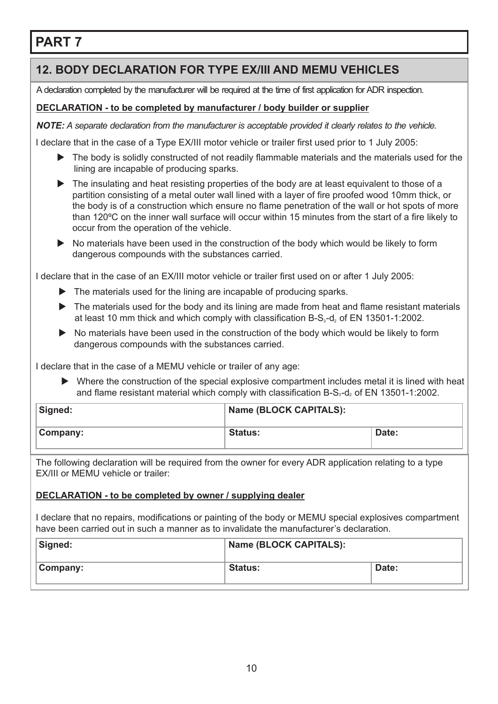### **12. BODY DECLARATION FOR TYPE EX/III AND MEMU VEHICLES**

A declaration completed by the manufacturer will be required at the time of first application for ADR inspection.

### **DECLARATION - to be completed by manufacturer / body builder or supplier**

*NOTE: A separate declaration from the manufacturer is acceptable provided it clearly relates to the vehicle.*

I declare that in the case of a Type EX/III motor vehicle or trailer frst used prior to 1 July 2005:

- $\blacktriangleright$  The body is solidly constructed of not readily flammable materials and the materials used for the lining are incapable of producing sparks.
- $\blacktriangleright$  The insulating and heat resisting properties of the body are at least equivalent to those of a partition consisting of a metal outer wall lined with a layer of fre proofed wood 10mm thick, or the body is of a construction which ensure no flame penetration of the wall or hot spots of more than 120ºC on the inner wall surface will occur within 15 minutes from the start of a fre likely to occur from the operation of the vehicle.
- $\triangleright$  No materials have been used in the construction of the body which would be likely to form dangerous compounds with the substances carried.

I declare that in the case of an EX/III motor vehicle or trailer frst used on or after 1 July 2005:

- $\blacktriangleright$  The materials used for the lining are incapable of producing sparks.
- $\blacktriangleright$  The materials used for the body and its lining are made from heat and flame resistant materials at least 10 mm thick and which comply with classification  $B-S<sub>3</sub> - d<sub>2</sub>$  of EN 13501-1:2002.
- $\triangleright$  No materials have been used in the construction of the body which would be likely to form dangerous compounds with the substances carried.

I declare that in the case of a MEMU vehicle or trailer of any age:

 $\blacktriangleright$  Where the construction of the special explosive compartment includes metal it is lined with heat and flame resistant material which comply with classification B-S<sub>3</sub>-d<sub>2</sub> of EN 13501-1:2002.

| Signed:  | <b>Name (BLOCK CAPITALS):</b> |       |  |
|----------|-------------------------------|-------|--|
| Company: | <b>Status:</b>                | Date: |  |

The following declaration will be required from the owner for every ADR application relating to a type EX/III or MEMU vehicle or trailer:

#### **DECLARATION - to be completed by owner / supplying dealer**

I declare that no repairs, modifcations or painting of the body or MEMU special explosives compartment have been carried out in such a manner as to invalidate the manufacturer's declaration.

| Signed:  | Name (BLOCK CAPITALS): |       |
|----------|------------------------|-------|
| Company: | <b>Status:</b>         | Date: |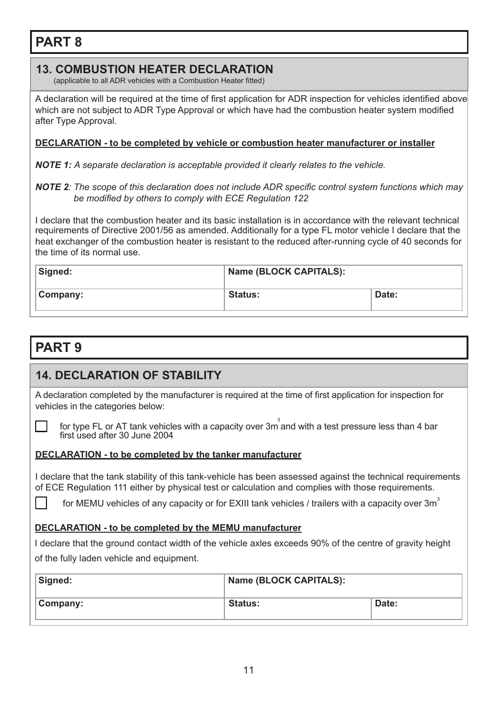### **13. COMBUSTION HEATER DECLARATION**

(applicable to all ADR vehicles with a Combustion Heater fitted)

A declaration will be required at the time of frst application for ADR inspection for vehicles identifed above which are not subject to ADR Type Approval or which have had the combustion heater system modifed after Type Approval.

#### **DECLARATION - to be completed by vehicle or combustion heater manufacturer or installer**

*NOTE 1: A separate declaration is acceptable provided it clearly relates to the vehicle.*

#### **NOTE 2***:* The scope of this declaration does not include ADR specific control system functions which may *be modified by others to comply with ECE Regulation 122*

I declare that the combustion heater and its basic installation is in accordance with the relevant technical requirements of Directive 2001/56 as amended. Additionally for a type FL motor vehicle I declare that the heat exchanger of the combustion heater is resistant to the reduced after-running cycle of 40 seconds for the time of its normal use.

| Signed:  | <b>Name (BLOCK CAPITALS):</b> |       |
|----------|-------------------------------|-------|
| Company: | <b>Status:</b>                | Date: |

# **PART 9**

### **14. DECLARATION OF STABILITY**

A declaration completed by the manufacturer is required at the time of frst application for inspection for vehicles in the categories below:

for type FL or AT tank vehicles with a capacity over 3m<sup>3</sup> and with a test pressure less than 4 bar first used after 30 June 2004

#### **DECLARATION - to be completed by the tanker manufacturer**

I declare that the tank stability of this tank-vehicle has been assessed against the technical requirements of ECE Regulation 111 either by physical test or calculation and complies with those requirements.

for MEMU vehicles of any capacity or for EXIII tank vehicles / trailers with a capacity over  $3m<sup>3</sup>$ 

#### **DECLARATION - to be completed by the MEMU manufacturer**

I declare that the ground contact width of the vehicle axles exceeds 90% of the centre of gravity height of the fully laden vehicle and equipment.

| Signed:  | Name (BLOCK CAPITALS): |       |
|----------|------------------------|-------|
| Company: | <b>Status:</b>         | Date: |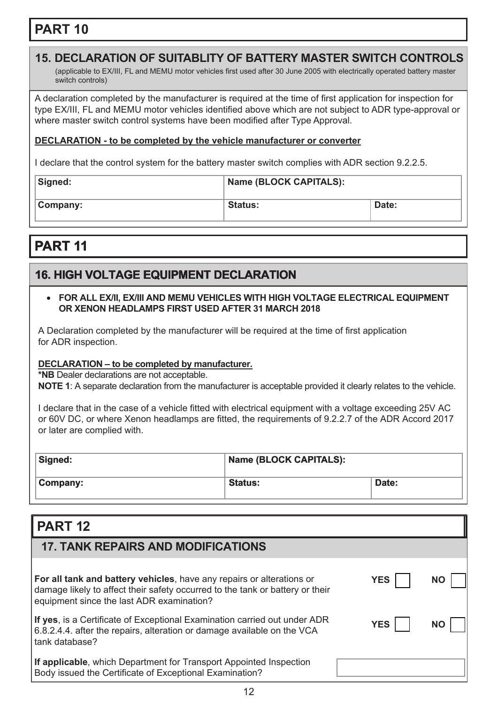### **15. DECLARATION OF SUITABLITY OF BATTERY MASTER SWITCH CONTROLS**

(applicable to EX/III, FL and MEMU motor vehicles frst used after 30 June 2005 with electrically operated battery master switch controls)

A declaration completed by the manufacturer is required at the time of frst application for inspection for type EX/III, FL and MEMU motor vehicles identifed above which are not subject to ADR type-approval or where master switch control systems have been modifed after Type Approval.

#### **DECLARATION - to be completed by the vehicle manufacturer or converter**

I declare that the control system for the battery master switch complies with ADR section 9.2.2.5.

| Signed:  | Name (BLOCK CAPITALS): |       |
|----------|------------------------|-------|
| Company: | <b>Status:</b>         | Date: |

# **PART 11**

### **16. HIGH VOLTAGE EQUIPMENT DECLARATION**

#### • **FOR ALL EX/II, EX/III AND MEMU VEHICLES WITH HIGH VOLTAGE ELECTRICAL EQUIPMENT OR XENON HEADLAMPS FIRST USED AFTER 31 MARCH 2018**

A Declaration completed by the manufacturer will be required at the time of first application for ADR inspection.

#### **DECLARATION – to be completed by manufacturer.**

**\*NB** Dealer declarations are not acceptable.

**NOTE 1**: A separate declaration from the manufacturer is acceptable provided it clearly relates to the vehicle.

I declare that in the case of a vehicle fitted with electrical equipment with a voltage exceeding 25V AC or 60V DC, or where Xenon headlamps are fitted, the requirements of 9.2.2.7 of the ADR Accord 2017 or later are complied with.

| Signed:  | <b>Name (BLOCK CAPITALS):</b> |       |
|----------|-------------------------------|-------|
| Company: | <b>Status:</b>                | Date: |

## **PART 12**

| <b>17. TANK REPAIRS AND MODIFICATIONS</b>                                                                                                                                                           |            |    |
|-----------------------------------------------------------------------------------------------------------------------------------------------------------------------------------------------------|------------|----|
| For all tank and battery vehicles, have any repairs or alterations or<br>damage likely to affect their safety occurred to the tank or battery or their<br>equipment since the last ADR examination? | <b>YES</b> | NΟ |
| If yes, is a Certificate of Exceptional Examination carried out under ADR<br>6.8.2.4.4. after the repairs, alteration or damage available on the VCA<br>tank database?                              | <b>YES</b> | ΝO |
| If applicable, which Department for Transport Appointed Inspection<br>Body issued the Certificate of Exceptional Examination?                                                                       |            |    |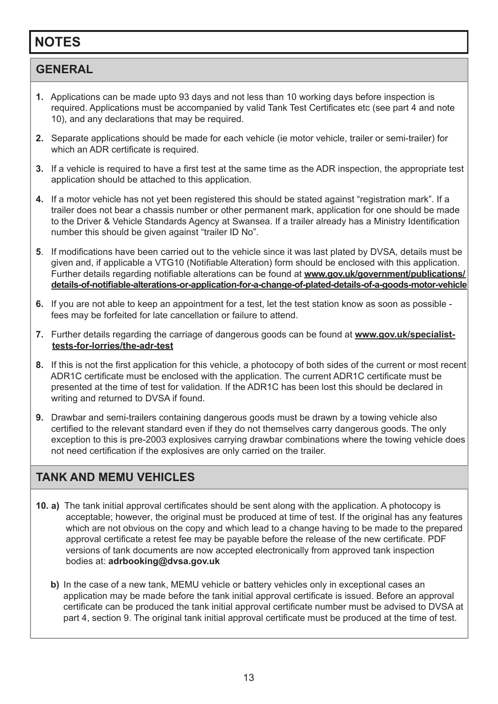# **NOTES**

### **GENERAL**

- **1.** Applications can be made upto 93 days and not less than 10 working days before inspection is required. Applications must be accompanied by valid Tank Test Certifcates etc (see part 4 and note 10), and any declarations that may be required.
- **2.** Separate applications should be made for each vehicle (ie motor vehicle, trailer or semi-trailer) for which an ADR certificate is required.
- **3.** If a vehicle is required to have a first test at the same time as the ADR inspection, the appropriate test application should be attached to this application.
- **4.** If a motor vehicle has not yet been registered this should be stated against "registration mark". If a trailer does not bear a chassis number or other permanent mark, application for one should be made to the Driver & Vehicle Standards Agency at Swansea. If a trailer already has a Ministry Identifcation number this should be given against "trailer ID No".
- **5**. If modifcations have been carried out to the vehicle since it was last plated by DVSA, details must be given and, if applicable a VTG10 (Notifable Alteration) form should be enclosed with this application. Further details regarding notifable alterations can be found at **www.gov.uk/government/publications/ [details-of-notifable-alterations-or-application-for-a-change-of-plated-details-of-a-goods-motor-vehicle](www.gov.uk/government/publications/details-of-notifiable-alterations-or-application-for-a-change-of-plated-details-of-a-goods-motor-vehicle)**
- **6.** If you are not able to keep an appointment for a test, let the test station know as soon as possible fees may be forfeited for late cancellation or failure to attend.
- **7.** Further details regarding the carriage of dangerous goods can be found at **www.gov.uk/specialisttests-for-lorries/the-adr-test**
- **8.** If this is not the frst application for this vehicle, a photocopy of both sides of the current or most recent ADR1C certifcate must be enclosed with the application. The current ADR1C certifcate must be presented at the time of test for validation. If the ADR1C has been lost this should be declared in writing and returned to DVSA if found.
- **9.** Drawbar and semi-trailers containing dangerous goods must be drawn by a towing vehicle also certifed to the relevant standard even if they do not themselves carry dangerous goods. The only exception to this is pre-2003 explosives carrying drawbar combinations where the towing vehicle does not need certifcation if the explosives are only carried on the trailer.

### **TANK AND MEMU VEHICLES**

- **10. a)** The tank initial approval certificates should be sent along with the application. A photocopy is acceptable; however, the original must be produced at time of test. If the original has any features which are not obvious on the copy and which lead to a change having to be made to the prepared approval certificate a retest fee may be payable before the release of the new certificate. PDF versions of tank documents are now accepted electronically from approved tank inspection bodies at: **adrbooking@dvsa.gov.uk**
	- **b)** In the case of a new tank, MEMU vehicle or battery vehicles only in exceptional cases an application may be made before the tank initial approval certifcate is issued. Before an approval certifcate can be produced the tank initial approval certifcate number must be advised to DVSA at part 4, section 9. The original tank initial approval certifcate must be produced at the time of test.